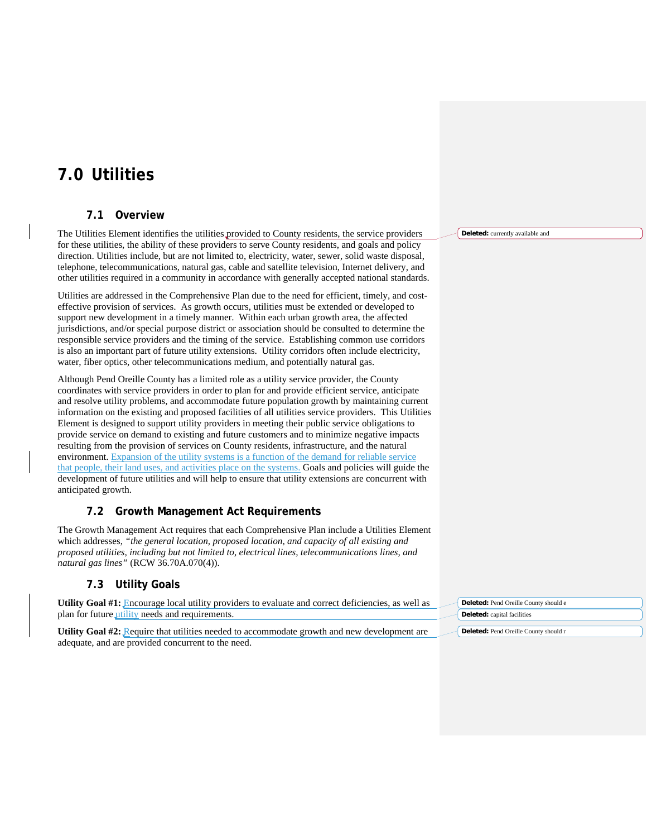# **7.0 Utilities**

# **7.1 Overview**

The Utilities Element identifies the utilities provided to County residents, the service providers for these utilities, the ability of these providers to serve County residents, and goals and policy direction. Utilities include, but are not limited to, electricity, water, sewer, solid waste disposal, telephone, telecommunications, natural gas, cable and satellite television, Internet delivery, and other utilities required in a community in accordance with generally accepted national standards.

Utilities are addressed in the Comprehensive Plan due to the need for efficient, timely, and costeffective provision of services. As growth occurs, utilities must be extended or developed to support new development in a timely manner. Within each urban growth area, the affected jurisdictions, and/or special purpose district or association should be consulted to determine the responsible service providers and the timing of the service. Establishing common use corridors is also an important part of future utility extensions. Utility corridors often include electricity, water, fiber optics, other telecommunications medium, and potentially natural gas.

Although Pend Oreille County has a limited role as a utility service provider, the County coordinates with service providers in order to plan for and provide efficient service, anticipate and resolve utility problems, and accommodate future population growth by maintaining current information on the existing and proposed facilities of all utilities service providers. This Utilities Element is designed to support utility providers in meeting their public service obligations to provide service on demand to existing and future customers and to minimize negative impacts resulting from the provision of services on County residents, infrastructure, and the natural environment. Expansion of the utility systems is a function of the demand for reliable service that people, their land uses, and activities place on the systems. Goals and policies will guide the development of future utilities and will help to ensure that utility extensions are concurrent with anticipated growth.

# **7.2 Growth Management Act Requirements**

The Growth Management Act requires that each Comprehensive Plan include a Utilities Element which addresses, *"the general location, proposed location, and capacity of all existing and proposed utilities, including but not limited to, electrical lines, telecommunications lines, and natural gas lines"* (RCW 36.70A.070(4)).

# **7.3 Utility Goals**

| <b>Utility Goal #1:</b> Encourage local utility providers to evaluate and correct deficiencies, as well as | Deleted: Pend Oreille County should e |
|------------------------------------------------------------------------------------------------------------|---------------------------------------|
| plan for future <i>utility</i> needs and requirements.                                                     | <b>Deleted:</b> capital facilities    |
| <b>Utility Goal #2:</b> Require that utilities needed to accommodate growth and new development are        | Deleted: Pend Oreille County should r |
| adequate, and are provided concurrent to the need.                                                         |                                       |

**Deleted:** currently available and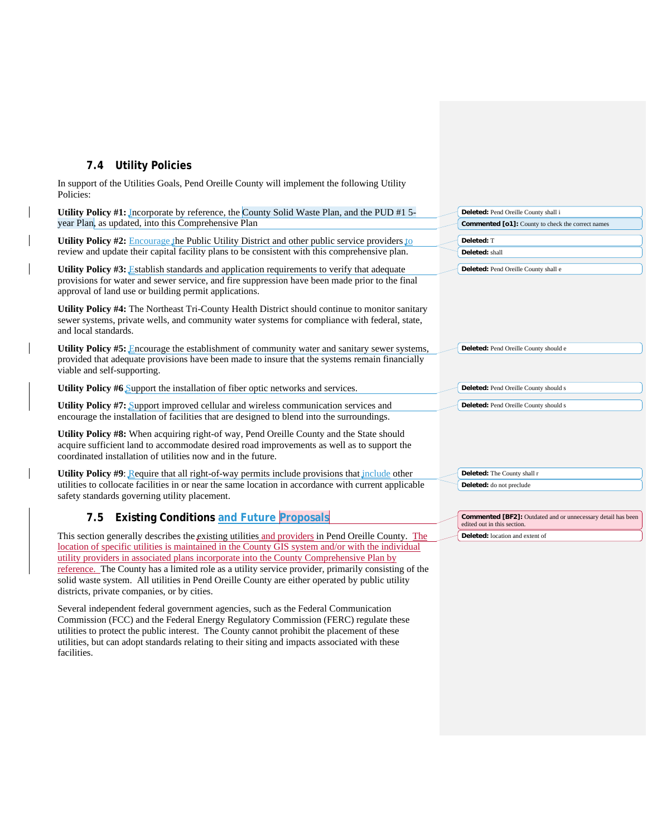# **7.4 Utility Policies**

districts, private companies, or by cities.

In support of the Utilities Goals, Pend Oreille County will implement the following Utility Policies:

| Utility Policy #1: Incorporate by reference, the County Solid Waste Plan, and the PUD #1 5-                                                                                                                                                            | Deleted: Pend Oreille County shall i                                                               |
|--------------------------------------------------------------------------------------------------------------------------------------------------------------------------------------------------------------------------------------------------------|----------------------------------------------------------------------------------------------------|
| year Plan, as updated, into this Comprehensive Plan                                                                                                                                                                                                    | <b>Commented [o1]:</b> County to check the correct names                                           |
| Utility Policy #2: Encourage the Public Utility District and other public service providers to                                                                                                                                                         | Deleted: T                                                                                         |
| review and update their capital facility plans to be consistent with this comprehensive plan.                                                                                                                                                          | Deleted: shall                                                                                     |
| Utility Policy #3: Establish standards and application requirements to verify that adequate<br>provisions for water and sewer service, and fire suppression have been made prior to the final<br>approval of land use or building permit applications. | Deleted: Pend Oreille County shall e                                                               |
| Utility Policy #4: The Northeast Tri-County Health District should continue to monitor sanitary<br>sewer systems, private wells, and community water systems for compliance with federal, state,<br>and local standards.                               |                                                                                                    |
| <b>Utility Policy #5:</b> Encourage the establishment of community water and sanitary sewer systems,<br>provided that adequate provisions have been made to insure that the systems remain financially<br>viable and self-supporting.                  | Deleted: Pend Oreille County should e                                                              |
| <b>Utility Policy #6</b> Support the installation of fiber optic networks and services.                                                                                                                                                                | Deleted: Pend Oreille County should s                                                              |
| <b>Utility Policy #7:</b> Support improved cellular and wireless communication services and<br>encourage the installation of facilities that are designed to blend into the surroundings.                                                              | Deleted: Pend Oreille County should s                                                              |
| Utility Policy #8: When acquiring right-of way, Pend Oreille County and the State should<br>acquire sufficient land to accommodate desired road improvements as well as to support the<br>coordinated installation of utilities now and in the future. |                                                                                                    |
| Utility Policy $\#9$ : Require that all right-of-way permits include provisions that include other                                                                                                                                                     | Deleted: The County shall r                                                                        |
| utilities to collocate facilities in or near the same location in accordance with current applicable<br>safety standards governing utility placement.                                                                                                  | Deleted: do not preclude                                                                           |
| 7.5 Existing Conditions and Future Proposals                                                                                                                                                                                                           | <b>Commented [BF2]:</b> Outdated and or unnecessary detail has been<br>edited out in this section. |
| This section generally describes the existing utilities and providers in Pend Oreille County. The                                                                                                                                                      | <b>Deleted:</b> location and extent of                                                             |
| location of specific utilities is maintained in the County GIS system and/or with the individual                                                                                                                                                       |                                                                                                    |
| utility providers in associated plans incorporate into the County Comprehensive Plan by                                                                                                                                                                |                                                                                                    |
| reference. The County has a limited role as a utility service provider, primarily consisting of the                                                                                                                                                    |                                                                                                    |

Several independent federal government agencies, such as the Federal Communication Commission (FCC) and the Federal Energy Regulatory Commission (FERC) regulate these utilities to protect the public interest. The County cannot prohibit the placement of these utilities, but can adopt standards relating to their siting and impacts associated with these facilities.

solid waste system. All utilities in Pend Oreille County are either operated by public utility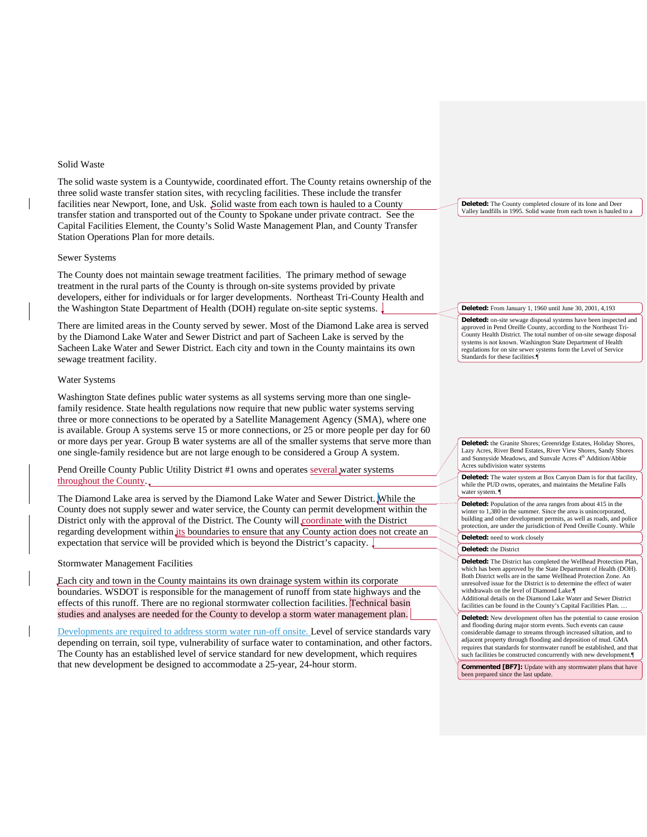# Solid Waste

The solid waste system is a Countywide, coordinated effort. The County retains ownership of the three solid waste transfer station sites, with recycling facilities. These include the transfer facilities near Newport, Ione, and Usk. Solid waste from each town is hauled to a County transfer station and transported out of the County to Spokane under private contract. See the Capital Facilities Element, the County's Solid Waste Management Plan, and County Transfer Station Operations Plan for more details.

# Sewer Systems

The County does not maintain sewage treatment facilities. The primary method of sewage treatment in the rural parts of the County is through on-site systems provided by private developers, either for individuals or for larger developments. Northeast Tri-County Health and the Washington State Department of Health (DOH) regulate on-site septic systems.

There are limited areas in the County served by sewer. Most of the Diamond Lake area is served by the Diamond Lake Water and Sewer District and part of Sacheen Lake is served by the Sacheen Lake Water and Sewer District. Each city and town in the County maintains its own sewage treatment facility.

# Water Systems

Washington State defines public water systems as all systems serving more than one singlefamily residence. State health regulations now require that new public water systems serving three or more connections to be operated by a Satellite Management Agency (SMA), where one is available. Group A systems serve 15 or more connections, or 25 or more people per day for 60 or more days per year. Group B water systems are all of the smaller systems that serve more than one single-family residence but are not large enough to be considered a Group A system.

Pend Oreille County Public Utility District #1 owns and operates several water systems throughout the County.

The Diamond Lake area is served by the Diamond Lake Water and Sewer District. While the County does not supply sewer and water service, the County can permit development within the District only with the approval of the District. The County will coordinate with the District regarding development within its boundaries to ensure that any County action does not create an expectation that service will be provided which is beyond the District's capacity.

# Stormwater Management Facilities

Each city and town in the County maintains its own drainage system within its corporate boundaries. WSDOT is responsible for the management of runoff from state highways and the effects of this runoff. There are no regional stormwater collection facilities. Technical basin studies and analyses are needed for the County to develop a storm water management plan.

Developments are required to address storm water run-off onsite. Level of service standards vary depending on terrain, soil type, vulnerability of surface water to contamination, and other factors. The County has an established level of service standard for new development, which requires that new development be designed to accommodate a 25-year, 24-hour storm.

**Deleted:** The County completed closure of its Ione and Deer Valley landfills in 1995. Solid waste from each town is hauled to a

#### **Deleted:** From January 1, 1960 until June 30, 2001, 4,193

**Deleted:** on-site sewage disposal systems have been inspected and approved in Pend Oreille County, according to the Northeast Tri-County Health District. The total number of on-site sewage disposal systems is not known. Washington State Department of Health regulations for on site sewer systems form the Level of Service Standards for these facilities.¶

**Deleted:** the Granite Shores; Greenridge Estates, Holiday Shores, Lazy Acres, River Bend Estates, River View Shores, Sandy Shores and Sunnyside Meadows, and Sunvale Acres 4<sup>th</sup> Addition/Abbie Acres subdivision water systems

**Deleted:** The water system at Box Canyon Dam is for that facility, while the PUD owns, operates, and maintains the Metaline Falls water system. ¶

**Deleted:** Population of the area ranges from about 415 in the winter to 1,380 in the summer. Since the area is unincorporated building and other development permits, as well as roads, and police protection, are under the jurisdiction of Pend Oreille County. While **Deleted:** need to work closely

#### **Deleted:** the District

**Deleted:** The District has completed the Wellhead Protection Plan, which has been approved by the State Department of Health (DOH). Both District wells are in the same Wellhead Protection Zone. An unresolved issue for the District is to determine the effect of water withdrawals on the level of Diamond Lake.¶ Additional details on the Diamond Lake Water and Sewer District

facilities can be found in the County's Capital Facilities Plan. …

**Deleted:** New development often has the potential to cause erosion and flooding during major storm events. Such events can cause considerable damage to streams through increased siltation, and to adjacent property through flooding and deposition of mud. GMA requires that standards for stormwater runoff be established, and that such facilities be constructed concurrently with new development.¶

**Commented [BF7]:** Update with any stormwater plans that have been prepared since the last update.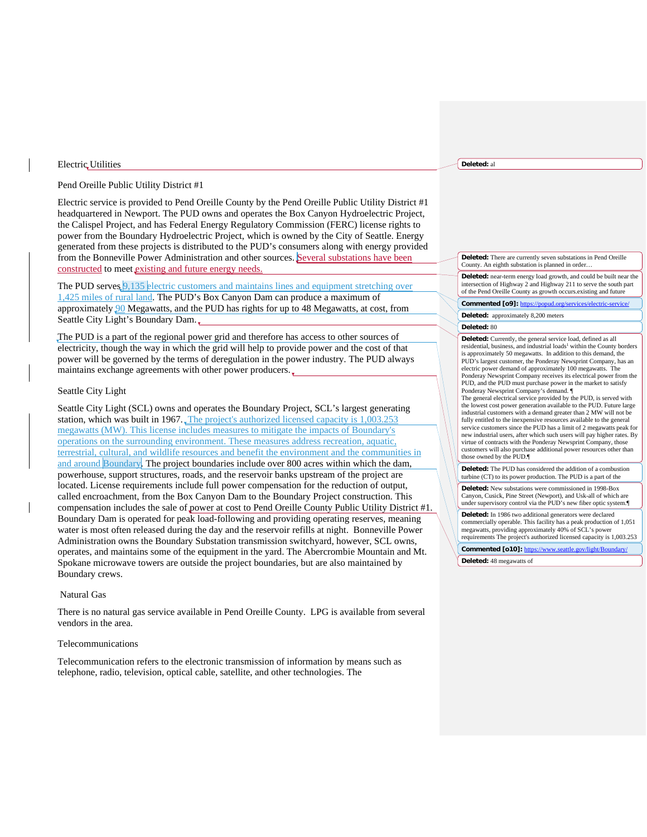### Electric Utilities

# Pend Oreille Public Utility District #1

Electric service is provided to Pend Oreille County by the Pend Oreille Public Utility District #1 headquartered in Newport. The PUD owns and operates the Box Canyon Hydroelectric Project, the Calispel Project, and has Federal Energy Regulatory Commission (FERC) license rights to power from the Boundary Hydroelectric Project, which is owned by the City of Seattle. Energy generated from these projects is distributed to the PUD's consumers along with energy provided from the Bonneville Power Administration and other sources. Several substations have been constructed to meet existing and future energy needs.

The PUD serves 9,135 electric customers and maintains lines and equipment stretching over 1,425 miles of rural land. The PUD's Box Canyon Dam can produce a maximum of approximately **90** Megawatts, and the PUD has rights for up to 48 Megawatts, at cost, from Seattle City Light's Boundary Dam.

The PUD is a part of the regional power grid and therefore has access to other sources of electricity, though the way in which the grid will help to provide power and the cost of that power will be governed by the terms of deregulation in the power industry. The PUD always maintains exchange agreements with other power producers.

# Seattle City Light

Seattle City Light (SCL) owns and operates the Boundary Project, SCL's largest generating station, which was built in 1967. The project's authorized licensed capacity is 1,003.253 megawatts (MW). This license includes measures to mitigate the impacts of Boundary's operations on the surrounding environment. These measures address recreation, aquatic, terrestrial, cultural, and wildlife resources and benefit the environment and the communities in and around Boundary. The project boundaries include over 800 acres within which the dam, powerhouse, support structures, roads, and the reservoir banks upstream of the project are located. License requirements include full power compensation for the reduction of output, called encroachment, from the Box Canyon Dam to the Boundary Project construction. This compensation includes the sale of power at cost to Pend Oreille County Public Utility District #1. Boundary Dam is operated for peak load-following and providing operating reserves, meaning water is most often released during the day and the reservoir refills at night. Bonneville Power Administration owns the Boundary Substation transmission switchyard, however, SCL owns, operates, and maintains some of the equipment in the yard. The Abercrombie Mountain and Mt. Spokane microwave towers are outside the project boundaries, but are also maintained by Boundary crews.

# Natural Gas

There is no natural gas service available in Pend Oreille County. LPG is available from several vendors in the area.

### Telecommunications

Telecommunication refers to the electronic transmission of information by means such as telephone, radio, television, optical cable, satellite, and other technologies. The

### **Deleted:** al

**Deleted:** There are currently seven substations in Pend Oreille County. An eighth substation is planned in order…

**Deleted:** near-term energy load growth, and could be built near the intersection of Highway 2 and Highway 211 to serve the south part of the Pend Oreille County as growth occurs.existing and future

Commented [o9]: https://popud.org/services/electri

**Deleted:** approximately 8,200 meters

#### **Deleted:** 80

**Deleted:** Currently, the general service load, defined as all residential, business, and industrial loads<sup>1</sup> within the County borders is approximately 50 megawatts. In addition to this demand, the PUD's largest customer, the Ponderay Newsprint Company, has an electric power demand of approximately 100 megawatts. The Ponderay Newsprint Company receives its electrical power from the PUD, and the PUD must purchase power in the market to satisfy Ponderay Newsprint Company's demand. ¶

The general electrical service provided by the PUD, is served with the lowest cost power generation available to the PUD. Future large industrial customers with a demand greater than 2 MW will not be fully entitled to the inexpensive resources available to the general service customers since the PUD has a limit of 2 megawatts peak for new industrial users, after which such users will pay higher rates. By virtue of contracts with the Ponderay Newsprint Company, those customers will also purchase additional power resources other than those owned by the PUD.¶

**Deleted:** The PUD has considered the addition of a combustion turbine (CT) to its power production. The PUD is a part of the

**Deleted:** New substations were commissioned in 1998-Box Canyon, Cusick, Pine Street (Newport), and Usk-all of which are under supervisory control via the PUD's new fiber optic system.¶

**Deleted:** In 1986 two additional generators were declared commercially operable. This facility has a peak production of 1,051 megawatts, providing approximately 40% of SCL's power requirements The project's authorized licensed capacity is 1,003.253

**Commented [o10]:** <https://www.seattle.gov/light/Boundary/>

**Deleted:** 48 megawatts of